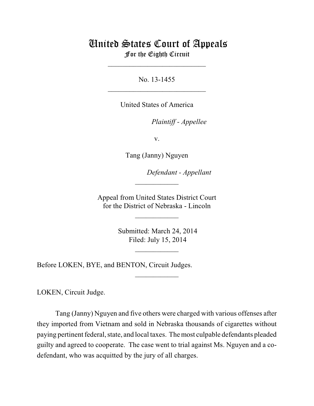## United States Court of Appeals For the Eighth Circuit

No. 13-1455  $\mathcal{L}_\text{max}$  , which is a set of the set of the set of the set of the set of the set of the set of the set of the set of the set of the set of the set of the set of the set of the set of the set of the set of the set of

\_\_\_\_\_\_\_\_\_\_\_\_\_\_\_\_\_\_\_\_\_\_\_\_\_\_\_

United States of America

Plaintiff - Appellee

v.

Tang (Janny) Nguyen

lllllllllllllllllllll *Defendant - Appellant*

 Appeal from United States District Court for the District of Nebraska - Lincoln

 $\overline{\phantom{a}}$  , where  $\overline{\phantom{a}}$ 

 $\frac{1}{2}$ 

 Submitted: March 24, 2014 Filed: July 15, 2014

 $\frac{1}{2}$ 

 $\overline{\phantom{a}}$  , where  $\overline{\phantom{a}}$ 

Before LOKEN, BYE, and BENTON, Circuit Judges.

LOKEN, Circuit Judge.

Tang (Janny) Nguyen and five others were charged with various offenses after they imported from Vietnam and sold in Nebraska thousands of cigarettes without paying pertinent federal, state, and local taxes. The most culpable defendants pleaded guilty and agreed to cooperate. The case went to trial against Ms. Nguyen and a codefendant, who was acquitted by the jury of all charges.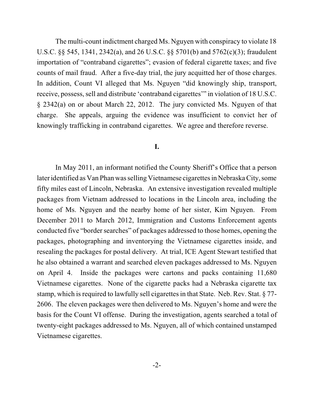The multi-count indictment charged Ms. Nguyen with conspiracy to violate 18 U.S.C. §§ 545, 1341, 2342(a), and 26 U.S.C. §§ 5701(b) and 5762(c)(3); fraudulent importation of "contraband cigarettes"; evasion of federal cigarette taxes; and five counts of mail fraud. After a five-day trial, the jury acquitted her of those charges. In addition, Count VI alleged that Ms. Nguyen "did knowingly ship, transport, receive, possess, sell and distribute 'contraband cigarettes'" in violation of 18 U.S.C. § 2342(a) on or about March 22, 2012. The jury convicted Ms. Nguyen of that charge. She appeals, arguing the evidence was insufficient to convict her of knowingly trafficking in contraband cigarettes. We agree and therefore reverse.

## **I.**

In May 2011, an informant notified the County Sheriff's Office that a person later identified as Van Phan wasselling Vietnamese cigarettes in NebraskaCity, some fifty miles east of Lincoln, Nebraska. An extensive investigation revealed multiple packages from Vietnam addressed to locations in the Lincoln area, including the home of Ms. Nguyen and the nearby home of her sister, Kim Nguyen. From December 2011 to March 2012, Immigration and Customs Enforcement agents conducted five "border searches" of packages addressed to those homes, opening the packages, photographing and inventorying the Vietnamese cigarettes inside, and resealing the packages for postal delivery. At trial, ICE Agent Stewart testified that he also obtained a warrant and searched eleven packages addressed to Ms. Nguyen on April 4. Inside the packages were cartons and packs containing 11,680 Vietnamese cigarettes. None of the cigarette packs had a Nebraska cigarette tax stamp, which is required to lawfully sell cigarettes in that State. Neb. Rev. Stat.  $\S 77$ -2606. The eleven packages were then delivered to Ms. Nguyen's home and were the basis for the Count VI offense. During the investigation, agents searched a total of twenty-eight packages addressed to Ms. Nguyen, all of which contained unstamped Vietnamese cigarettes.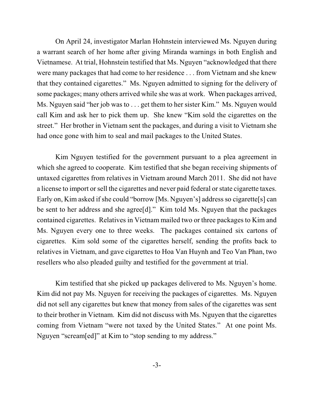On April 24, investigator Marlan Hohnstein interviewed Ms. Nguyen during a warrant search of her home after giving Miranda warnings in both English and Vietnamese. At trial, Hohnstein testified that Ms. Nguyen "acknowledged that there were many packages that had come to her residence . . . from Vietnam and she knew that they contained cigarettes." Ms. Nguyen admitted to signing for the delivery of some packages; many others arrived while she was at work. When packages arrived, Ms. Nguyen said "her job was to . . . get them to her sister Kim." Ms. Nguyen would call Kim and ask her to pick them up. She knew "Kim sold the cigarettes on the street." Her brother in Vietnam sent the packages, and during a visit to Vietnam she had once gone with him to seal and mail packages to the United States.

Kim Nguyen testified for the government pursuant to a plea agreement in which she agreed to cooperate. Kim testified that she began receiving shipments of untaxed cigarettes from relatives in Vietnam around March 2011. She did not have a license to import orsell the cigarettes and never paid federal orstate cigarette taxes. Early on, Kim asked if she could "borrow [Ms. Nguyen's] address so cigarette[s] can be sent to her address and she agree[d]." Kim told Ms. Nguyen that the packages contained cigarettes. Relatives in Vietnam mailed two or three packages to Kim and Ms. Nguyen every one to three weeks. The packages contained six cartons of cigarettes. Kim sold some of the cigarettes herself, sending the profits back to relatives in Vietnam, and gave cigarettes to Hoa Van Huynh and Teo Van Phan, two resellers who also pleaded guilty and testified for the government at trial.

Kim testified that she picked up packages delivered to Ms. Nguyen's home. Kim did not pay Ms. Nguyen for receiving the packages of cigarettes. Ms. Nguyen did not sell any cigarettes but knew that money from sales of the cigarettes was sent to their brother in Vietnam. Kim did not discuss with Ms. Nguyen that the cigarettes coming from Vietnam "were not taxed by the United States." At one point Ms. Nguyen "scream[ed]" at Kim to "stop sending to my address."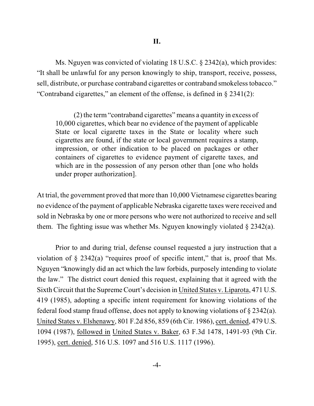Ms. Nguyen was convicted of violating 18 U.S.C. § 2342(a), which provides: "It shall be unlawful for any person knowingly to ship, transport, receive, possess, sell, distribute, or purchase contraband cigarettes or contraband smokeless tobacco." "Contraband cigarettes," an element of the offense, is defined in § 2341(2):

(2) the term "contraband cigarettes" means a quantity in excess of 10,000 cigarettes, which bear no evidence of the payment of applicable State or local cigarette taxes in the State or locality where such cigarettes are found, if the state or local government requires a stamp, impression, or other indication to be placed on packages or other containers of cigarettes to evidence payment of cigarette taxes, and which are in the possession of any person other than [one who holds under proper authorization].

At trial, the government proved that more than 10,000 Vietnamese cigarettes bearing no evidence of the payment of applicable Nebraska cigarette taxes were received and sold in Nebraska by one or more persons who were not authorized to receive and sell them. The fighting issue was whether Ms. Nguyen knowingly violated § 2342(a).

Prior to and during trial, defense counsel requested a jury instruction that a violation of  $\S$  2342(a) "requires proof of specific intent," that is, proof that Ms. Nguyen "knowingly did an act which the law forbids, purposely intending to violate the law." The district court denied this request, explaining that it agreed with the Sixth Circuit that the Supreme Court's decision in United States v. Liparota, 471 U.S. 419 (1985), adopting a specific intent requirement for knowing violations of the federal food stamp fraud offense, does not apply to knowing violations of § 2342(a). United States v. Elshenawy, 801 F.2d 856, 859 (6th Cir. 1986), cert. denied, 479 U.S. 1094 (1987), followed in United States v. Baker, 63 F.3d 1478, 1491-93 (9th Cir. 1995), cert. denied, 516 U.S. 1097 and 516 U.S. 1117 (1996).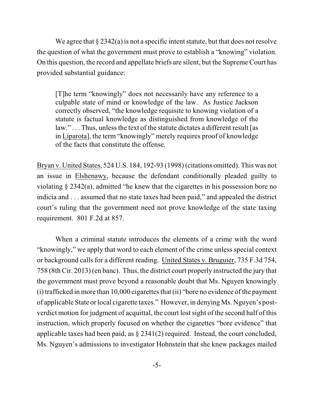We agree that  $\S 2342(a)$  is not a specific intent statute, but that does not resolve the question of what the government must prove to establish a "knowing" violation. On this question, the record and appellate briefs are silent, but the Supreme Court has provided substantial guidance:

[T]he term "knowingly" does not necessarily have any reference to a culpable state of mind or knowledge of the law. As Justice Jackson correctly observed, "the knowledge requisite to knowing violation of a statute is factual knowledge as distinguished from knowledge of the  $law." \ldots$  Thus, unless the text of the statute dictates a different result [as in Liparota], the term "knowingly" merely requires proof of knowledge of the facts that constitute the offense.

Bryan v. United States, 524 U.S. 184, 192-93 (1998) (citations omitted). This was not an issue in Elshenawy, because the defendant conditionally pleaded guilty to violating § 2342(a), admitted "he knew that the cigarettes in his possession bore no indicia and . . . assumed that no state taxes had been paid," and appealed the district court's ruling that the government need not prove knowledge of the state taxing requirement. 801 F.2d at 857.

When a criminal statute introduces the elements of a crime with the word "knowingly," we apply that word to each element of the crime unless special context or background calls for a different reading. United States v. Bruguier, 735 F.3d 754, 758 (8th Cir. 2013) (en banc). Thus, the district court properly instructed the jury that the government must prove beyond a reasonable doubt that Ms. Nguyen knowingly (i) trafficked in more than 10,000 cigarettes that (ii) "bore no evidence of the payment of applicable State orlocal cigarette taxes." However, in denying Ms. Nguyen's postverdict motion for judgment of acquittal, the court lostsight of the second half of this instruction, which properly focused on whether the cigarettes "bore evidence" that applicable taxes had been paid, as § 2341(2) required. Instead, the court concluded, Ms. Nguyen's admissions to investigator Hohnstein that she knew packages mailed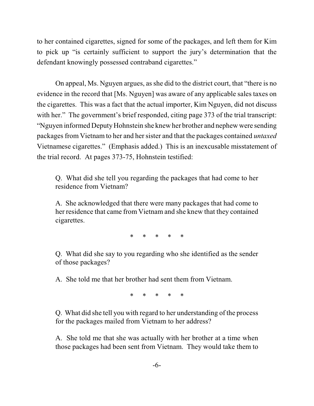to her contained cigarettes, signed for some of the packages, and left them for Kim to pick up "is certainly sufficient to support the jury's determination that the defendant knowingly possessed contraband cigarettes."

On appeal, Ms. Nguyen argues, as she did to the district court, that "there is no evidence in the record that [Ms. Nguyen] was aware of any applicable sales taxes on the cigarettes. This was a fact that the actual importer, Kim Nguyen, did not discuss with her." The government's brief responded, citing page 373 of the trial transcript: "Nguyen informed Deputy Hohnstein she knew her brother and nephew were sending packages from Vietnam to her and her sister and that the packages contained *untaxed* Vietnamese cigarettes." (Emphasis added.) This is an inexcusable misstatement of the trial record. At pages 373-75, Hohnstein testified:

Q. What did she tell you regarding the packages that had come to her residence from Vietnam?

A. She acknowledged that there were many packages that had come to her residence that came from Vietnam and she knew that they contained cigarettes.

\* \* \* \* \*

Q. What did she say to you regarding who she identified as the sender of those packages?

A. She told me that her brother had sent them from Vietnam.

\* \* \* \* \*

Q. What did she tell you with regard to her understanding of the process for the packages mailed from Vietnam to her address?

A. She told me that she was actually with her brother at a time when those packages had been sent from Vietnam. They would take them to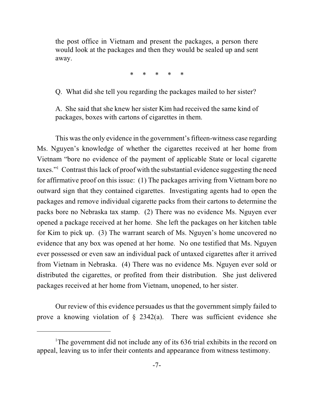the post office in Vietnam and present the packages, a person there would look at the packages and then they would be sealed up and sent away.

\* \* \* \* \*

Q. What did she tell you regarding the packages mailed to her sister?

A. She said that she knew her sister Kim had received the same kind of packages, boxes with cartons of cigarettes in them.

This wasthe only evidence in the government's fifteen-witness case regarding Ms. Nguyen's knowledge of whether the cigarettes received at her home from Vietnam "bore no evidence of the payment of applicable State or local cigarette taxes." Contrast this lack of proof with the substantial evidence suggesting the need for affirmative proof on this issue: (1) The packages arriving from Vietnam bore no outward sign that they contained cigarettes. Investigating agents had to open the packages and remove individual cigarette packs from their cartons to determine the packs bore no Nebraska tax stamp. (2) There was no evidence Ms. Nguyen ever opened a package received at her home. She left the packages on her kitchen table for Kim to pick up. (3) The warrant search of Ms. Nguyen's home uncovered no evidence that any box was opened at her home. No one testified that Ms. Nguyen ever possessed or even saw an individual pack of untaxed cigarettes after it arrived from Vietnam in Nebraska. (4) There was no evidence Ms. Nguyen ever sold or distributed the cigarettes, or profited from their distribution. She just delivered packages received at her home from Vietnam, unopened, to her sister.

Our review of this evidence persuades us that the government simply failed to prove a knowing violation of  $\S$  2342(a). There was sufficient evidence she

<sup>&</sup>lt;sup>1</sup>The government did not include any of its  $636$  trial exhibits in the record on appeal, leaving us to infer their contents and appearance from witness testimony.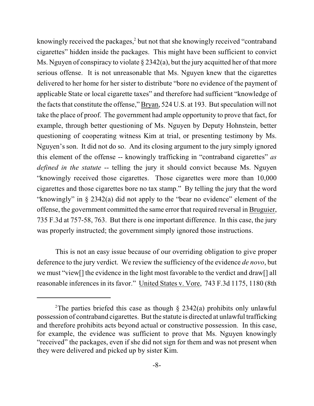knowingly received the packages, $2$  but not that she knowingly received "contraband" cigarettes" hidden inside the packages. This might have been sufficient to convict Ms. Nguyen of conspiracy to violate  $\S 2342(a)$ , but the jury acquitted her of that more serious offense. It is not unreasonable that Ms. Nguyen knew that the cigarettes delivered to her home for her sister to distribute "bore no evidence of the payment of applicable State or local cigarette taxes" and therefore had sufficient "knowledge of the facts that constitute the offense," Bryan, 524 U.S. at 193. But speculation will not take the place of proof. The government had ample opportunity to prove that fact, for example, through better questioning of Ms. Nguyen by Deputy Hohnstein, better questioning of cooperating witness Kim at trial, or presenting testimony by Ms. Nguyen's son. It did not do so. And its closing argument to the jury simply ignored this element of the offense -- knowingly trafficking in "contraband cigarettes" *as defined in the statute* -- telling the jury it should convict because Ms. Nguyen "knowingly received those cigarettes. Those cigarettes were more than 10,000 cigarettes and those cigarettes bore no tax stamp." By telling the jury that the word "knowingly" in § 2342(a) did not apply to the "bear no evidence" element of the offense, the government committed the same error that required reversal in Bruguier, 735 F.3d at 757-58, 763. But there is one important difference. In this case, the jury was properly instructed; the government simply ignored those instructions.

This is not an easy issue because of our overriding obligation to give proper deference to the jury verdict. We review the sufficiency of the evidence *de novo*, but we must "view[] the evidence in the light most favorable to the verdict and draw[] all reasonable inferences in its favor." United States v. Vore, 743 F.3d 1175, 1180 (8th

<sup>&</sup>lt;sup>2</sup>The parties briefed this case as though  $\S$  2342(a) prohibits only unlawful possession of contraband cigarettes. But the statute is directed at unlawful trafficking and therefore prohibits acts beyond actual or constructive possession. In this case, for example, the evidence was sufficient to prove that Ms. Nguyen knowingly "received" the packages, even if she did not sign for them and was not present when they were delivered and picked up by sister Kim.